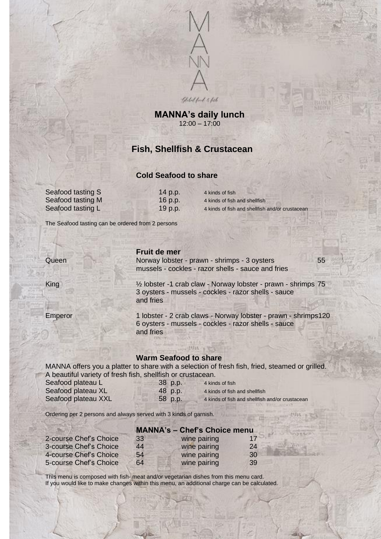

**MANNA's daily lunch** 12:00 – 17:00

# **Fish, Shellfish & Crustacean**

## **Cold Seafood to share**

| 14 p.p. | 4 kinds of fish                                |
|---------|------------------------------------------------|
| 16 p.p. | 4 kinds of fish and shellfish                  |
| 19 p.p. | 4 kinds of fish and shellfish and/or crustacea |

The Seafood tasting can be ordered from 2 persons

Seafood tasting S Seafood tasting M Seafood tasting L

### **Fruit de mer**

Queen Norway lobster - prawn - shrimps - 3 oysters 55 mussels - cockles - razor shells - sauce and fries

King ½ lobster -1 crab claw - Norway lobster - prawn - shrimps 75 3 oysters - mussels - cockles - razor shells - sauce and fries

Emperor 1 lobster - 2 crab claws - Norway lobster - prawn - shrimps120 6 oysters - mussels - cockles - razor shells - sauce and fries

## **Warm Seafood to share**

MANNA offers you a platter to share with a selection of fresh fish, fried, steamed or grilled. A beautiful variety of fresh fish, shellfish or crustacean.

| Seafood plateau L   | 38 p.p. | 4 kinds of fish                                 |
|---------------------|---------|-------------------------------------------------|
| Seafood plateau XL  | 48 p.p. | 4 kinds of fish and shellfish                   |
| Seafood plateau XXL | 58 p.p. | 4 kinds of fish and shellfish and/or crustacean |

Ordering per 2 persons and always served with 3 kinds of garnish.

|                        | <b>MANNA's - Chef's Choice menu</b> |              |    |  |
|------------------------|-------------------------------------|--------------|----|--|
| 2-course Chef's Choice | 33                                  | wine pairing | 17 |  |
| 3-course Chef's Choice | 44                                  | wine pairing | 24 |  |
| 4-course Chef's Choice | 54                                  | wine pairing | 30 |  |
| 5-course Chef's Choice | 64                                  | wine pairing | 39 |  |

This menu is composed with fish- meat and/or vegetarian dishes from this menu card. If you would like to make changes within this menu, an additional charge can be calculated.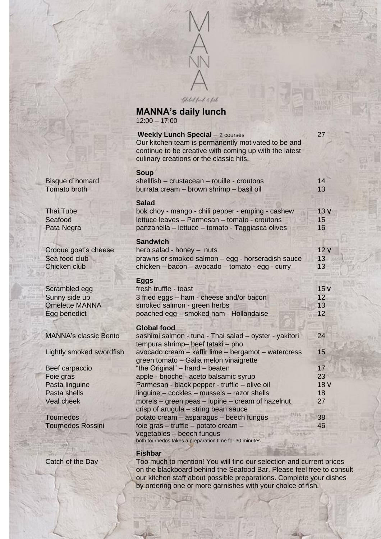

**MANNA's daily lunch** 12:00 – 17:00

|                                                                         | <b>Weekly Lunch Special - 2 courses</b><br>Our kitchen team is permanently motivated to be and<br>continue to be creative with coming up with the latest<br>culinary creations or the classic hits. | 27                    |
|-------------------------------------------------------------------------|-----------------------------------------------------------------------------------------------------------------------------------------------------------------------------------------------------|-----------------------|
| Bisque d'homard<br><b>Tomato broth</b>                                  | <b>Soup</b><br>shellfish - crustacean - rouille - croutons<br>burrata cream - brown shrimp - basil oil                                                                                              | 14<br>13              |
| Thai Tube<br>Seafood<br>Pata Negra                                      | <b>Salad</b><br>bok choy - mango - chili pepper - emping - cashew<br>lettuce leaves - Parmesan - tomato - croutons<br>panzanella - lettuce - tomato - Taggiasca olives                              | 13V<br>15<br>16       |
| Croque goat's cheese<br>Sea food club<br>Chicken club                   | <b>Sandwich</b><br>herb salad - honey - nuts<br>prawns or smoked salmon - egg - horseradish sauce<br>chicken - bacon - avocado - tomato - egg - curry                                               | 12V<br>13<br>13       |
| Scrambled egg<br>Sunny side up<br><b>Omelette MANNA</b><br>Egg benedict | <b>Eggs</b><br>fresh truffle - toast<br>3 fried eggs - ham - cheese and/or bacon<br>smoked salmon - green herbs<br>poached egg - smoked ham - Hollandaise                                           | 15V<br>12<br>13<br>12 |
| <b>MANNA's classic Bento</b>                                            | <b>Global food</b><br>sashimi salmon - tuna - Thai salad - oyster - yakitori<br>tempura shrimp- beef tataki - pho                                                                                   | 24                    |
| Lightly smoked swordfish<br>Beef carpaccio                              | avocado cream - kaffir lime - bergamot - watercress<br>green tomato - Galia melon vinaigrette<br>"the Original" - hand - beaten                                                                     | 15<br>17              |
| Foie gras                                                               | apple - brioche - aceto balsamic syrup                                                                                                                                                              | 23                    |
| Pasta linguine                                                          | Parmesan - black pepper - truffle - olive oil                                                                                                                                                       | 18 <sub>V</sub>       |
| Pasta shells                                                            | linguine - cockles - mussels - razor shells                                                                                                                                                         | 18                    |
| <b>Veal cheek</b>                                                       | morels – green peas – lupine – cream of hazelnut<br>crisp of arugula - string bean sauce                                                                                                            | 27                    |
| <b>Tournedos</b>                                                        | potato cream - asparagus - beech fungus                                                                                                                                                             | 38                    |
| <b>Tournedos Rossini</b>                                                | foie gras - truffle - potato cream -<br>vegetables - beech fungus<br>both tournedos takes a preparation time for 30 minutes                                                                         | 46                    |

## **Fishbar**

Catch of the Day Too much to mention! You will find our selection and current prices on the blackboard behind the Seafood Bar. Please feel free to consult our kitchen staff about possible preparations. Complete your dishes by ordering one or more garnishes with your choice of fish.